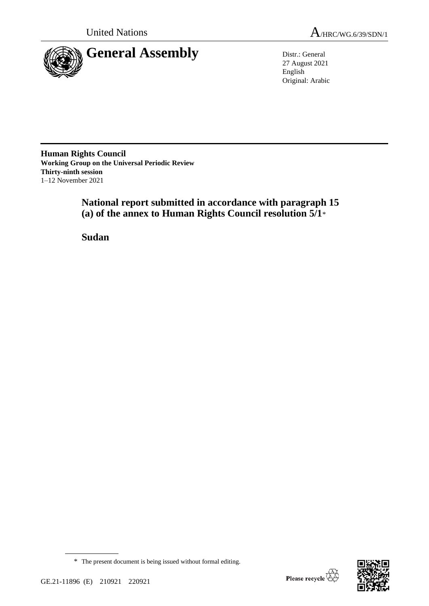

27 August 2021 English Original: Arabic

**Human Rights Council Working Group on the Universal Periodic Review Thirty-ninth session** 1–12 November 2021

> **National report submitted in accordance with paragraph 15 (a) of the annex to Human Rights Council resolution 5/1**\*

**Sudan**

\* The present document is being issued without formal editing.

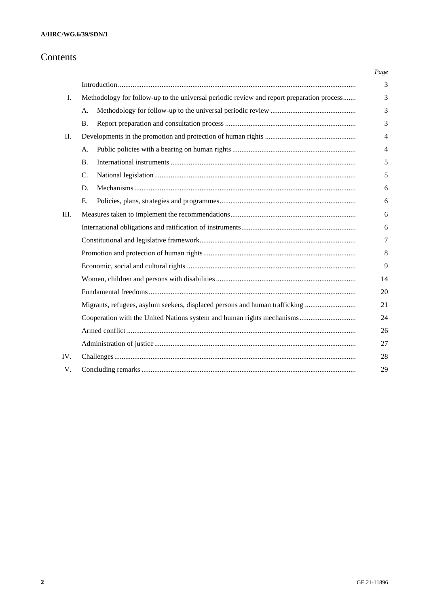# Contents

|     |                                                                                           |  | Page |
|-----|-------------------------------------------------------------------------------------------|--|------|
|     |                                                                                           |  | 3    |
| I.  | Methodology for follow-up to the universal periodic review and report preparation process |  | 3    |
|     | A.                                                                                        |  | 3    |
|     | <b>B.</b>                                                                                 |  | 3    |
| П.  |                                                                                           |  | 4    |
|     | А.                                                                                        |  | 4    |
|     | <b>B.</b>                                                                                 |  | 5    |
|     | C.                                                                                        |  | 5    |
|     | D.                                                                                        |  | 6    |
|     | E.                                                                                        |  | 6    |
| Ш.  |                                                                                           |  | 6    |
|     |                                                                                           |  | 6    |
|     |                                                                                           |  | 7    |
|     |                                                                                           |  | 8    |
|     |                                                                                           |  | 9    |
|     |                                                                                           |  | 14   |
|     |                                                                                           |  | 20   |
|     | Migrants, refugees, asylum seekers, displaced persons and human trafficking               |  | 21   |
|     |                                                                                           |  | 24   |
|     |                                                                                           |  | 26   |
|     |                                                                                           |  | 27   |
| IV. |                                                                                           |  | 28   |
| V.  |                                                                                           |  | 29   |
|     |                                                                                           |  |      |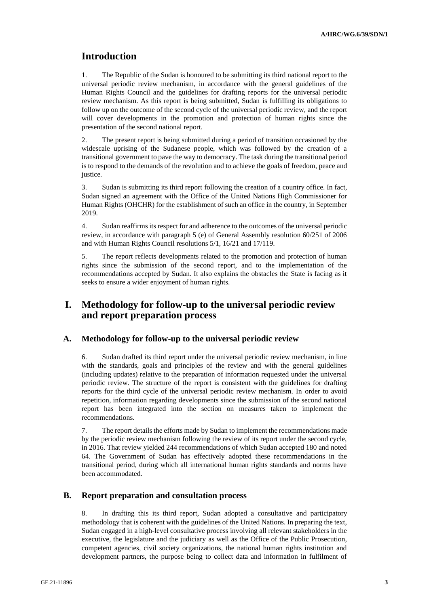# **Introduction**

1. The Republic of the Sudan is honoured to be submitting its third national report to the universal periodic review mechanism, in accordance with the general guidelines of the Human Rights Council and the guidelines for drafting reports for the universal periodic review mechanism. As this report is being submitted, Sudan is fulfilling its obligations to follow up on the outcome of the second cycle of the universal periodic review, and the report will cover developments in the promotion and protection of human rights since the presentation of the second national report.

2. The present report is being submitted during a period of transition occasioned by the widescale uprising of the Sudanese people, which was followed by the creation of a transitional government to pave the way to democracy. The task during the transitional period is to respond to the demands of the revolution and to achieve the goals of freedom, peace and justice.

3. Sudan is submitting its third report following the creation of a country office. In fact, Sudan signed an agreement with the Office of the United Nations High Commissioner for Human Rights (OHCHR) for the establishment of such an office in the country, in September 2019.

4. Sudan reaffirms its respect for and adherence to the outcomes of the universal periodic review, in accordance with paragraph 5 (e) of General Assembly resolution 60/251 of 2006 and with Human Rights Council resolutions 5/1, 16/21 and 17/119.

5. The report reflects developments related to the promotion and protection of human rights since the submission of the second report, and to the implementation of the recommendations accepted by Sudan. It also explains the obstacles the State is facing as it seeks to ensure a wider enjoyment of human rights.

# **I. Methodology for follow-up to the universal periodic review and report preparation process**

### **A. Methodology for follow-up to the universal periodic review**

6. Sudan drafted its third report under the universal periodic review mechanism, in line with the standards, goals and principles of the review and with the general guidelines (including updates) relative to the preparation of information requested under the universal periodic review. The structure of the report is consistent with the guidelines for drafting reports for the third cycle of the universal periodic review mechanism. In order to avoid repetition, information regarding developments since the submission of the second national report has been integrated into the section on measures taken to implement the recommendations.

7. The report details the efforts made by Sudan to implement the recommendations made by the periodic review mechanism following the review of its report under the second cycle, in 2016. That review yielded 244 recommendations of which Sudan accepted 180 and noted 64. The Government of Sudan has effectively adopted these recommendations in the transitional period, during which all international human rights standards and norms have been accommodated.

# **B. Report preparation and consultation process**

8. In drafting this its third report, Sudan adopted a consultative and participatory methodology that is coherent with the guidelines of the United Nations. In preparing the text, Sudan engaged in a high-level consultative process involving all relevant stakeholders in the executive, the legislature and the judiciary as well as the Office of the Public Prosecution, competent agencies, civil society organizations, the national human rights institution and development partners, the purpose being to collect data and information in fulfilment of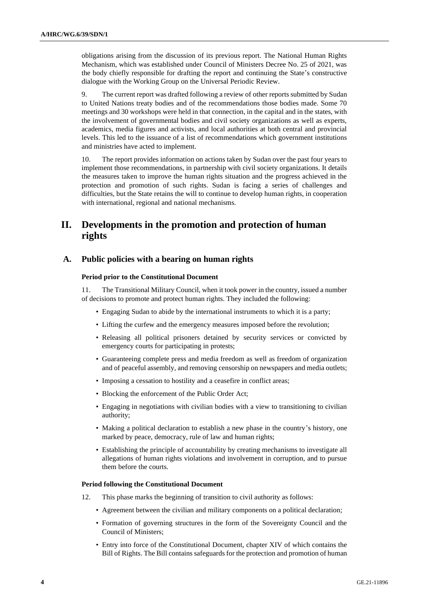obligations arising from the discussion of its previous report. The National Human Rights Mechanism, which was established under Council of Ministers Decree No. 25 of 2021, was the body chiefly responsible for drafting the report and continuing the State's constructive dialogue with the Working Group on the Universal Periodic Review.

9. The current report was drafted following a review of other reports submitted by Sudan to United Nations treaty bodies and of the recommendations those bodies made. Some 70 meetings and 30 workshops were held in that connection, in the capital and in the states, with the involvement of governmental bodies and civil society organizations as well as experts, academics, media figures and activists, and local authorities at both central and provincial levels. This led to the issuance of a list of recommendations which government institutions and ministries have acted to implement.

10. The report provides information on actions taken by Sudan over the past four years to implement those recommendations, in partnership with civil society organizations. It details the measures taken to improve the human rights situation and the progress achieved in the protection and promotion of such rights. Sudan is facing a series of challenges and difficulties, but the State retains the will to continue to develop human rights, in cooperation with international, regional and national mechanisms.

# **II. Developments in the promotion and protection of human rights**

# **A. Public policies with a bearing on human rights**

### **Period prior to the Constitutional Document**

11. The Transitional Military Council, when it took power in the country, issued a number of decisions to promote and protect human rights. They included the following:

- Engaging Sudan to abide by the international instruments to which it is a party;
- Lifting the curfew and the emergency measures imposed before the revolution;
- Releasing all political prisoners detained by security services or convicted by emergency courts for participating in protests;
- Guaranteeing complete press and media freedom as well as freedom of organization and of peaceful assembly, and removing censorship on newspapers and media outlets;
- Imposing a cessation to hostility and a ceasefire in conflict areas;
- Blocking the enforcement of the Public Order Act;
- Engaging in negotiations with civilian bodies with a view to transitioning to civilian authority;
- Making a political declaration to establish a new phase in the country's history, one marked by peace, democracy, rule of law and human rights;
- Establishing the principle of accountability by creating mechanisms to investigate all allegations of human rights violations and involvement in corruption, and to pursue them before the courts.

#### **Period following the Constitutional Document**

- 12. This phase marks the beginning of transition to civil authority as follows:
	- Agreement between the civilian and military components on a political declaration;
	- Formation of governing structures in the form of the Sovereignty Council and the Council of Ministers;
	- Entry into force of the Constitutional Document, chapter XIV of which contains the Bill of Rights. The Bill contains safeguards for the protection and promotion of human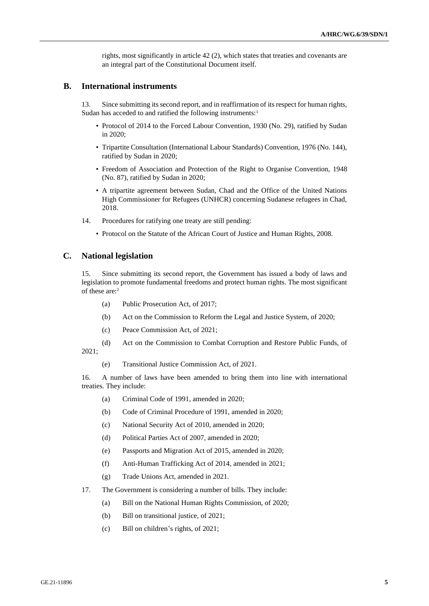rights, most significantly in article 42 (2), which states that treaties and covenants are an integral part of the Constitutional Document itself.

### **B. International instruments**

13. Since submitting its second report, and in reaffirmation of its respect for human rights, Sudan has acceded to and ratified the following instruments:<sup>1</sup>

- Protocol of 2014 to the Forced Labour Convention, 1930 (No. 29), ratified by Sudan in 2020;
- Tripartite Consultation (International Labour Standards) Convention, 1976 (No. 144), ratified by Sudan in 2020;
- Freedom of Association and Protection of the Right to Organise Convention, 1948 (No. 87), ratified by Sudan in 2020;
- A tripartite agreement between Sudan, Chad and the Office of the United Nations High Commissioner for Refugees (UNHCR) concerning Sudanese refugees in Chad, 2018.
- 14. Procedures for ratifying one treaty are still pending:
	- Protocol on the Statute of the African Court of Justice and Human Rights, 2008.

# **C. National legislation**

15. Since submitting its second report, the Government has issued a body of laws and legislation to promote fundamental freedoms and protect human rights. The most significant of these are:<sup>2</sup>

- (a) Public Prosecution Act, of 2017;
- (b) Act on the Commission to Reform the Legal and Justice System, of 2020;
- (c) Peace Commission Act, of 2021;
- (d) Act on the Commission to Combat Corruption and Restore Public Funds, of 2021;
	- (e) Transitional Justice Commission Act, of 2021.

16. A number of laws have been amended to bring them into line with international treaties. They include:

- (a) Criminal Code of 1991, amended in 2020;
- (b) Code of Criminal Procedure of 1991, amended in 2020;
- (c) National Security Act of 2010, amended in 2020;
- (d) Political Parties Act of 2007, amended in 2020;
- (e) Passports and Migration Act of 2015, amended in 2020;
- (f) Anti-Human Trafficking Act of 2014, amended in 2021;
- (g) Trade Unions Act, amended in 2021.
- 17. The Government is considering a number of bills. They include:
	- (a) Bill on the National Human Rights Commission, of 2020;
	- (b) Bill on transitional justice, of 2021;
	- (c) Bill on children's rights, of 2021;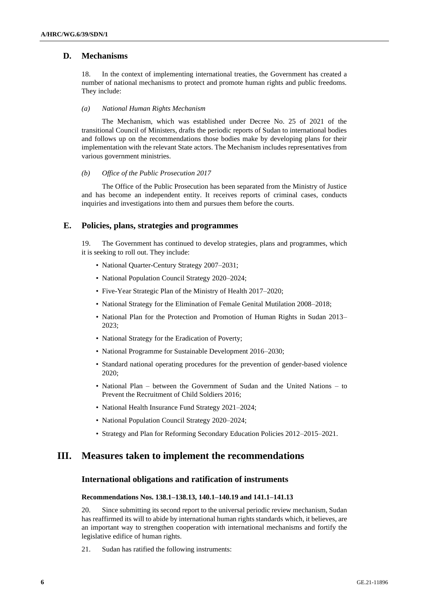### **D. Mechanisms**

18. In the context of implementing international treaties, the Government has created a number of national mechanisms to protect and promote human rights and public freedoms. They include:

#### *(a) National Human Rights Mechanism*

The Mechanism, which was established under Decree No. 25 of 2021 of the transitional Council of Ministers, drafts the periodic reports of Sudan to international bodies and follows up on the recommendations those bodies make by developing plans for their implementation with the relevant State actors. The Mechanism includes representatives from various government ministries.

#### *(b) Office of the Public Prosecution 2017*

The Office of the Public Prosecution has been separated from the Ministry of Justice and has become an independent entity. It receives reports of criminal cases, conducts inquiries and investigations into them and pursues them before the courts.

### **E. Policies, plans, strategies and programmes**

19. The Government has continued to develop strategies, plans and programmes, which it is seeking to roll out. They include:

- National Quarter-Century Strategy 2007–2031;
- National Population Council Strategy 2020–2024;
- Five-Year Strategic Plan of the Ministry of Health 2017–2020;
- National Strategy for the Elimination of Female Genital Mutilation 2008–2018;
- National Plan for the Protection and Promotion of Human Rights in Sudan 2013– 2023;
- National Strategy for the Eradication of Poverty;
- National Programme for Sustainable Development 2016–2030;
- Standard national operating procedures for the prevention of gender-based violence 2020;
- National Plan between the Government of Sudan and the United Nations to Prevent the Recruitment of Child Soldiers 2016;
- National Health Insurance Fund Strategy 2021–2024;
- National Population Council Strategy 2020–2024;
- Strategy and Plan for Reforming Secondary Education Policies 2012–2015–2021.

# **III. Measures taken to implement the recommendations**

### **International obligations and ratification of instruments**

### **Recommendations Nos. 138.1–138.13, 140.1–140.19 and 141.1–141.13**

20. Since submitting its second report to the universal periodic review mechanism, Sudan has reaffirmed its will to abide by international human rights standards which, it believes, are an important way to strengthen cooperation with international mechanisms and fortify the legislative edifice of human rights.

21. Sudan has ratified the following instruments: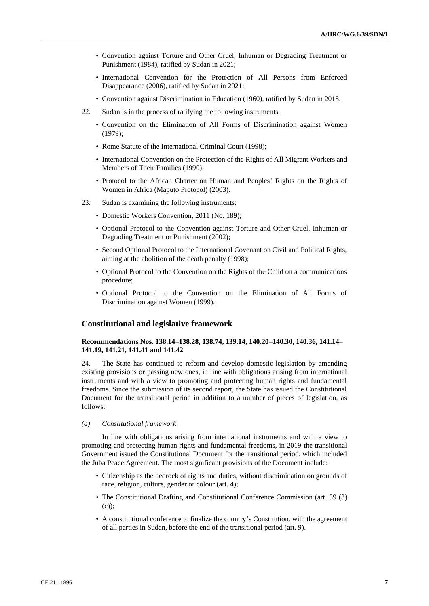- Convention against Torture and Other Cruel, Inhuman or Degrading Treatment or Punishment (1984), ratified by Sudan in 2021;
- International Convention for the Protection of All Persons from Enforced Disappearance (2006), ratified by Sudan in 2021;
- Convention against Discrimination in Education (1960), ratified by Sudan in 2018.
- 22. Sudan is in the process of ratifying the following instruments:
	- Convention on the Elimination of All Forms of Discrimination against Women (1979);
	- Rome Statute of the International Criminal Court (1998);
	- International Convention on the Protection of the Rights of All Migrant Workers and Members of Their Families (1990);
	- Protocol to the African Charter on Human and Peoples' Rights on the Rights of Women in Africa (Maputo Protocol) (2003).
- 23. Sudan is examining the following instruments:
	- Domestic Workers Convention, 2011 (No. 189);
	- Optional Protocol to the Convention against Torture and Other Cruel, Inhuman or Degrading Treatment or Punishment (2002);
	- Second Optional Protocol to the International Covenant on Civil and Political Rights, aiming at the abolition of the death penalty (1998);
	- Optional Protocol to the Convention on the Rights of the Child on a communications procedure;
	- Optional Protocol to the Convention on the Elimination of All Forms of Discrimination against Women (1999).

### **Constitutional and legislative framework**

### **Recommendations Nos. 138.14–138.28, 138.74, 139.14, 140.20–140.30, 140.36, 141.14– 141.19, 141.21, 141.41 and 141.42**

24. The State has continued to reform and develop domestic legislation by amending existing provisions or passing new ones, in line with obligations arising from international instruments and with a view to promoting and protecting human rights and fundamental freedoms. Since the submission of its second report, the State has issued the Constitutional Document for the transitional period in addition to a number of pieces of legislation, as follows:

#### *(a) Constitutional framework*

In line with obligations arising from international instruments and with a view to promoting and protecting human rights and fundamental freedoms, in 2019 the transitional Government issued the Constitutional Document for the transitional period, which included the Juba Peace Agreement. The most significant provisions of the Document include:

- Citizenship as the bedrock of rights and duties, without discrimination on grounds of race, religion, culture, gender or colour (art. 4);
- The Constitutional Drafting and Constitutional Conference Commission (art. 39 (3) (c));
- A constitutional conference to finalize the country's Constitution, with the agreement of all parties in Sudan, before the end of the transitional period (art. 9).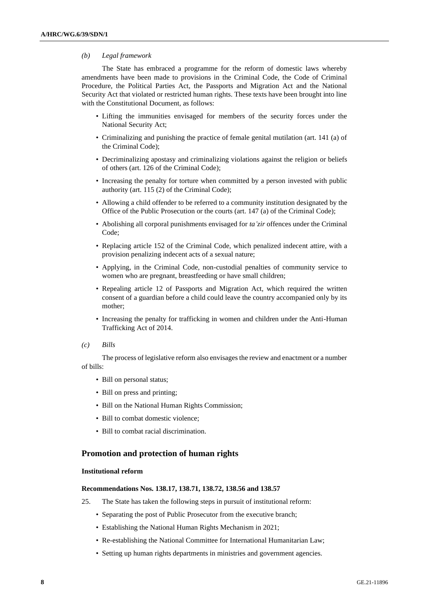#### *(b) Legal framework*

The State has embraced a programme for the reform of domestic laws whereby amendments have been made to provisions in the Criminal Code, the Code of Criminal Procedure, the Political Parties Act, the Passports and Migration Act and the National Security Act that violated or restricted human rights. These texts have been brought into line with the Constitutional Document, as follows:

- Lifting the immunities envisaged for members of the security forces under the National Security Act;
- Criminalizing and punishing the practice of female genital mutilation (art. 141 (a) of the Criminal Code);
- Decriminalizing apostasy and criminalizing violations against the religion or beliefs of others (art. 126 of the Criminal Code);
- Increasing the penalty for torture when committed by a person invested with public authority (art. 115 (2) of the Criminal Code);
- Allowing a child offender to be referred to a community institution designated by the Office of the Public Prosecution or the courts (art. 147 (a) of the Criminal Code);
- Abolishing all corporal punishments envisaged for *ta'zir* offences under the Criminal Code;
- Replacing article 152 of the Criminal Code, which penalized indecent attire, with a provision penalizing indecent acts of a sexual nature;
- Applying, in the Criminal Code, non-custodial penalties of community service to women who are pregnant, breastfeeding or have small children;
- Repealing article 12 of Passports and Migration Act, which required the written consent of a guardian before a child could leave the country accompanied only by its mother;
- Increasing the penalty for trafficking in women and children under the Anti-Human Trafficking Act of 2014.
- *(c) Bills*

The process of legislative reform also envisages the review and enactment or a number of bills:

- Bill on personal status;
- Bill on press and printing;
- Bill on the National Human Rights Commission;
- Bill to combat domestic violence:
- Bill to combat racial discrimination.

### **Promotion and protection of human rights**

#### **Institutional reform**

#### **Recommendations Nos. 138.17, 138.71, 138.72, 138.56 and 138.57**

- 25. The State has taken the following steps in pursuit of institutional reform:
	- Separating the post of Public Prosecutor from the executive branch;
	- Establishing the National Human Rights Mechanism in 2021;
	- Re-establishing the National Committee for International Humanitarian Law;
	- Setting up human rights departments in ministries and government agencies.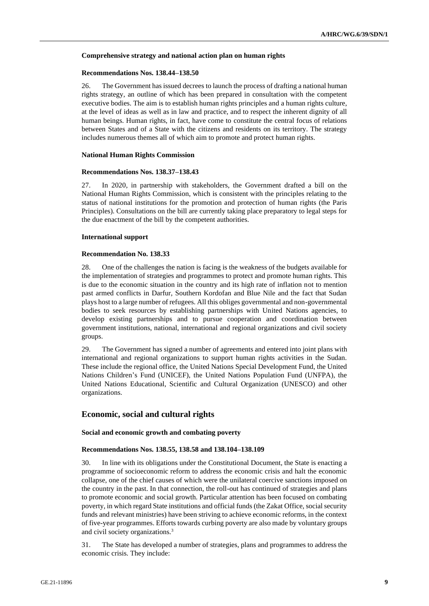#### **Comprehensive strategy and national action plan on human rights**

#### **Recommendations Nos. 138.44–138.50**

26. The Government has issued decrees to launch the process of drafting a national human rights strategy, an outline of which has been prepared in consultation with the competent executive bodies. The aim is to establish human rights principles and a human rights culture, at the level of ideas as well as in law and practice, and to respect the inherent dignity of all human beings. Human rights, in fact, have come to constitute the central focus of relations between States and of a State with the citizens and residents on its territory. The strategy includes numerous themes all of which aim to promote and protect human rights.

#### **National Human Rights Commission**

#### **Recommendations Nos. 138.37–138.43**

27. In 2020, in partnership with stakeholders, the Government drafted a bill on the National Human Rights Commission, which is consistent with the principles relating to the status of national institutions for the promotion and protection of human rights (the Paris Principles). Consultations on the bill are currently taking place preparatory to legal steps for the due enactment of the bill by the competent authorities.

#### **International support**

#### **Recommendation No. 138.33**

28. One of the challenges the nation is facing is the weakness of the budgets available for the implementation of strategies and programmes to protect and promote human rights. This is due to the economic situation in the country and its high rate of inflation not to mention past armed conflicts in Darfur, Southern Kordofan and Blue Nile and the fact that Sudan plays host to a large number of refugees. All this obliges governmental and non-governmental bodies to seek resources by establishing partnerships with United Nations agencies, to develop existing partnerships and to pursue cooperation and coordination between government institutions, national, international and regional organizations and civil society groups.

29. The Government has signed a number of agreements and entered into joint plans with international and regional organizations to support human rights activities in the Sudan. These include the regional office, the United Nations Special Development Fund, the United Nations Children's Fund (UNICEF), the United Nations Population Fund (UNFPA), the United Nations Educational, Scientific and Cultural Organization (UNESCO) and other organizations.

## **Economic, social and cultural rights**

#### **Social and economic growth and combating poverty**

#### **Recommendations Nos. 138.55, 138.58 and 138.104–138.109**

30. In line with its obligations under the Constitutional Document, the State is enacting a programme of socioeconomic reform to address the economic crisis and halt the economic collapse, one of the chief causes of which were the unilateral coercive sanctions imposed on the country in the past. In that connection, the roll-out has continued of strategies and plans to promote economic and social growth. Particular attention has been focused on combating poverty, in which regard State institutions and official funds (the Zakat Office, social security funds and relevant ministries) have been striving to achieve economic reforms, in the context of five-year programmes. Efforts towards curbing poverty are also made by voluntary groups and civil society organizations.<sup>3</sup>

31. The State has developed a number of strategies, plans and programmes to address the economic crisis. They include: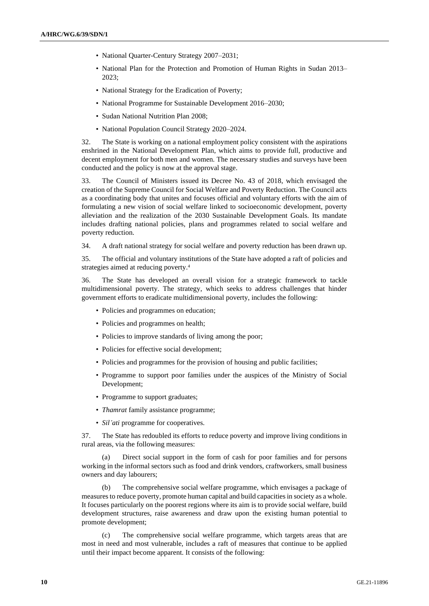- National Quarter-Century Strategy 2007–2031;
- National Plan for the Protection and Promotion of Human Rights in Sudan 2013– 2023;
- National Strategy for the Eradication of Poverty;
- National Programme for Sustainable Development 2016–2030;
- Sudan National Nutrition Plan 2008;
- National Population Council Strategy 2020–2024.

32. The State is working on a national employment policy consistent with the aspirations enshrined in the National Development Plan, which aims to provide full, productive and decent employment for both men and women. The necessary studies and surveys have been conducted and the policy is now at the approval stage.

33. The Council of Ministers issued its Decree No. 43 of 2018, which envisaged the creation of the Supreme Council for Social Welfare and Poverty Reduction. The Council acts as a coordinating body that unites and focuses official and voluntary efforts with the aim of formulating a new vision of social welfare linked to socioeconomic development, poverty alleviation and the realization of the 2030 Sustainable Development Goals. Its mandate includes drafting national policies, plans and programmes related to social welfare and poverty reduction.

34. A draft national strategy for social welfare and poverty reduction has been drawn up.

35. The official and voluntary institutions of the State have adopted a raft of policies and strategies aimed at reducing poverty.<sup>4</sup>

36. The State has developed an overall vision for a strategic framework to tackle multidimensional poverty. The strategy, which seeks to address challenges that hinder government efforts to eradicate multidimensional poverty, includes the following:

- Policies and programmes on education;
- Policies and programmes on health;
- Policies to improve standards of living among the poor;
- Policies for effective social development;
- Policies and programmes for the provision of housing and public facilities;
- Programme to support poor families under the auspices of the Ministry of Social Development;
- Programme to support graduates;
- *Thamrat* family assistance programme;
- *Sil'ati* programme for cooperatives.

37. The State has redoubled its efforts to reduce poverty and improve living conditions in rural areas, via the following measures:

(a) Direct social support in the form of cash for poor families and for persons working in the informal sectors such as food and drink vendors, craftworkers, small business owners and day labourers;

(b) The comprehensive social welfare programme, which envisages a package of measures to reduce poverty, promote human capital and build capacities in society as a whole. It focuses particularly on the poorest regions where its aim is to provide social welfare, build development structures, raise awareness and draw upon the existing human potential to promote development;

(c) The comprehensive social welfare programme, which targets areas that are most in need and most vulnerable, includes a raft of measures that continue to be applied until their impact become apparent. It consists of the following: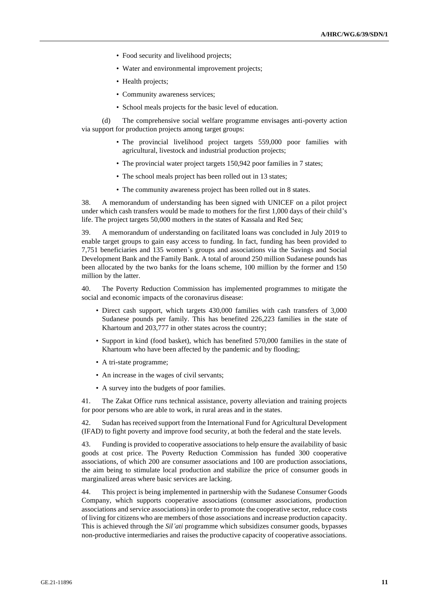- Food security and livelihood projects;
- Water and environmental improvement projects;
- Health projects;
- Community awareness services;
- School meals projects for the basic level of education.

(d) The comprehensive social welfare programme envisages anti-poverty action via support for production projects among target groups:

- The provincial livelihood project targets 559,000 poor families with agricultural, livestock and industrial production projects;
- The provincial water project targets 150,942 poor families in 7 states;
- The school meals project has been rolled out in 13 states;
- The community awareness project has been rolled out in 8 states.

38. A memorandum of understanding has been signed with UNICEF on a pilot project under which cash transfers would be made to mothers for the first 1,000 days of their child's life. The project targets 50,000 mothers in the states of Kassala and Red Sea;

39. A memorandum of understanding on facilitated loans was concluded in July 2019 to enable target groups to gain easy access to funding. In fact, funding has been provided to 7,751 beneficiaries and 135 women's groups and associations via the Savings and Social Development Bank and the Family Bank. A total of around 250 million Sudanese pounds has been allocated by the two banks for the loans scheme, 100 million by the former and 150 million by the latter.

40. The Poverty Reduction Commission has implemented programmes to mitigate the social and economic impacts of the coronavirus disease:

- Direct cash support, which targets 430,000 families with cash transfers of 3,000 Sudanese pounds per family. This has benefited 226,223 families in the state of Khartoum and 203,777 in other states across the country;
- Support in kind (food basket), which has benefited 570,000 families in the state of Khartoum who have been affected by the pandemic and by flooding;
- A tri-state programme;
- An increase in the wages of civil servants;
- A survey into the budgets of poor families.

41. The Zakat Office runs technical assistance, poverty alleviation and training projects for poor persons who are able to work, in rural areas and in the states.

42. Sudan has received support from the International Fund for Agricultural Development (IFAD) to fight poverty and improve food security, at both the federal and the state levels.

43. Funding is provided to cooperative associations to help ensure the availability of basic goods at cost price. The Poverty Reduction Commission has funded 300 cooperative associations, of which 200 are consumer associations and 100 are production associations, the aim being to stimulate local production and stabilize the price of consumer goods in marginalized areas where basic services are lacking.

44. This project is being implemented in partnership with the Sudanese Consumer Goods Company, which supports cooperative associations (consumer associations, production associations and service associations) in order to promote the cooperative sector, reduce costs of living for citizens who are members of those associations and increase production capacity. This is achieved through the *Sil'ati* programme which subsidizes consumer goods, bypasses non-productive intermediaries and raises the productive capacity of cooperative associations.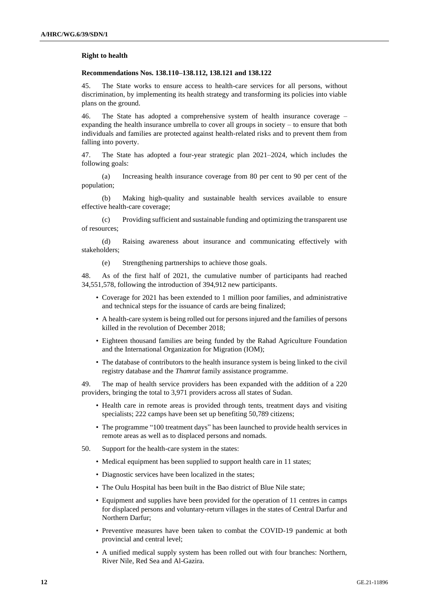#### **Right to health**

#### **Recommendations Nos. 138.110–138.112, 138.121 and 138.122**

45. The State works to ensure access to health-care services for all persons, without discrimination, by implementing its health strategy and transforming its policies into viable plans on the ground.

46. The State has adopted a comprehensive system of health insurance coverage – expanding the health insurance umbrella to cover all groups in society – to ensure that both individuals and families are protected against health-related risks and to prevent them from falling into poverty.

47. The State has adopted a four-year strategic plan 2021–2024, which includes the following goals:

(a) Increasing health insurance coverage from 80 per cent to 90 per cent of the population;

(b) Making high-quality and sustainable health services available to ensure effective health-care coverage;

(c) Providing sufficient and sustainable funding and optimizing the transparent use of resources;

(d) Raising awareness about insurance and communicating effectively with stakeholders;

(e) Strengthening partnerships to achieve those goals.

48. As of the first half of 2021, the cumulative number of participants had reached 34,551,578, following the introduction of 394,912 new participants.

- Coverage for 2021 has been extended to 1 million poor families, and administrative and technical steps for the issuance of cards are being finalized;
- A health-care system is being rolled out for persons injured and the families of persons killed in the revolution of December 2018;
- Eighteen thousand families are being funded by the Rahad Agriculture Foundation and the International Organization for Migration (IOM);
- The database of contributors to the health insurance system is being linked to the civil registry database and the *Thamrat* family assistance programme.

49. The map of health service providers has been expanded with the addition of a 220 providers, bringing the total to 3,971 providers across all states of Sudan.

- Health care in remote areas is provided through tents, treatment days and visiting specialists; 222 camps have been set up benefiting 50,789 citizens;
- The programme "100 treatment days" has been launched to provide health services in remote areas as well as to displaced persons and nomads.
- 50. Support for the health-care system in the states:
	- Medical equipment has been supplied to support health care in 11 states;
	- Diagnostic services have been localized in the states;
	- The Oulu Hospital has been built in the Bao district of Blue Nile state;
	- Equipment and supplies have been provided for the operation of 11 centres in camps for displaced persons and voluntary-return villages in the states of Central Darfur and Northern Darfur;
	- Preventive measures have been taken to combat the COVID-19 pandemic at both provincial and central level;
	- A unified medical supply system has been rolled out with four branches: Northern, River Nile, Red Sea and Al-Gazira.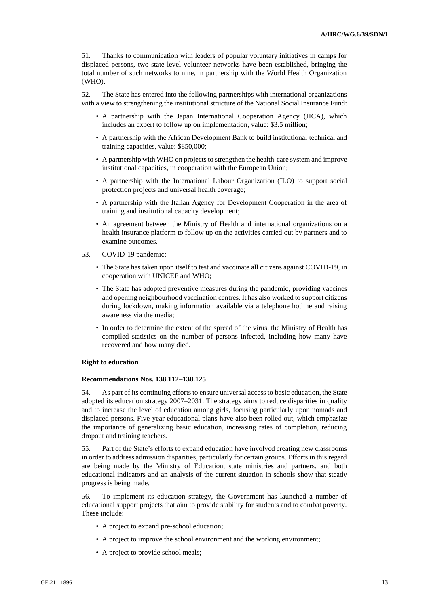51. Thanks to communication with leaders of popular voluntary initiatives in camps for displaced persons, two state-level volunteer networks have been established, bringing the total number of such networks to nine, in partnership with the World Health Organization (WHO).

52. The State has entered into the following partnerships with international organizations with a view to strengthening the institutional structure of the National Social Insurance Fund:

- A partnership with the Japan International Cooperation Agency (JICA), which includes an expert to follow up on implementation, value: \$3.5 million;
- A partnership with the African Development Bank to build institutional technical and training capacities, value: \$850,000;
- A partnership with WHO on projects to strengthen the health-care system and improve institutional capacities, in cooperation with the European Union;
- A partnership with the International Labour Organization (ILO) to support social protection projects and universal health coverage;
- A partnership with the Italian Agency for Development Cooperation in the area of training and institutional capacity development;
- An agreement between the Ministry of Health and international organizations on a health insurance platform to follow up on the activities carried out by partners and to examine outcomes.
- 53. COVID-19 pandemic:
	- The State has taken upon itself to test and vaccinate all citizens against COVID-19, in cooperation with UNICEF and WHO;
	- The State has adopted preventive measures during the pandemic, providing vaccines and opening neighbourhood vaccination centres. It has also worked to support citizens during lockdown, making information available via a telephone hotline and raising awareness via the media;
	- In order to determine the extent of the spread of the virus, the Ministry of Health has compiled statistics on the number of persons infected, including how many have recovered and how many died.

### **Right to education**

#### **Recommendations Nos. 138.112–138.125**

54. As part of its continuing efforts to ensure universal access to basic education, the State adopted its education strategy 2007–2031. The strategy aims to reduce disparities in quality and to increase the level of education among girls, focusing particularly upon nomads and displaced persons. Five-year educational plans have also been rolled out, which emphasize the importance of generalizing basic education, increasing rates of completion, reducing dropout and training teachers.

55. Part of the State's efforts to expand education have involved creating new classrooms in order to address admission disparities, particularly for certain groups. Efforts in this regard are being made by the Ministry of Education, state ministries and partners, and both educational indicators and an analysis of the current situation in schools show that steady progress is being made.

56. To implement its education strategy, the Government has launched a number of educational support projects that aim to provide stability for students and to combat poverty. These include:

- A project to expand pre-school education;
- A project to improve the school environment and the working environment;
- A project to provide school meals;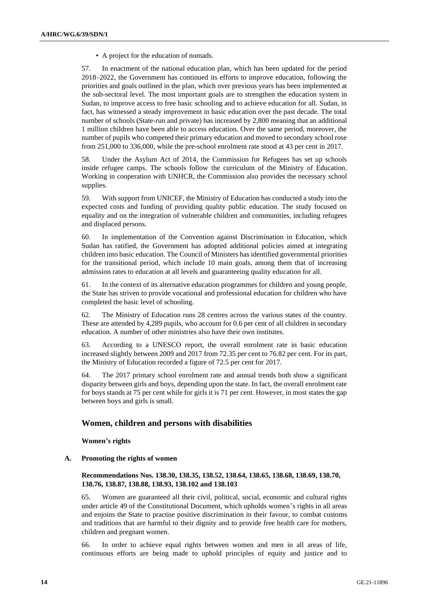• A project for the education of nomads.

57. In enactment of the national education plan, which has been updated for the period 2018–2022, the Government has continued its efforts to improve education, following the priorities and goals outlined in the plan, which over previous years has been implemented at the sub-sectoral level. The most important goals are to strengthen the education system in Sudan, to improve access to free basic schooling and to achieve education for all. Sudan, in fact, has witnessed a steady improvement in basic education over the past decade. The total number of schools (State-run and private) has increased by 2,800 meaning that an additional 1 million children have been able to access education. Over the same period, moreover, the number of pupils who competed their primary education and moved to secondary school rose from 251,000 to 336,000, while the pre-school enrolment rate stood at 43 per cent in 2017.

58. Under the Asylum Act of 2014, the Commission for Refugees has set up schools inside refugee camps. The schools follow the curriculum of the Ministry of Education. Working in cooperation with UNHCR, the Commission also provides the necessary school supplies.

59. With support from UNICEF, the Ministry of Education has conducted a study into the expected costs and funding of providing quality public education. The study focused on equality and on the integration of vulnerable children and communities, including refugees and displaced persons.

60. In implementation of the Convention against Discrimination in Education, which Sudan has ratified, the Government has adopted additional policies aimed at integrating children into basic education. The Council of Ministers has identified governmental priorities for the transitional period, which include 10 main goals, among them that of increasing admission rates to education at all levels and guaranteeing quality education for all.

61. In the context of its alternative education programmes for children and young people, the State has striven to provide vocational and professional education for children who have completed the basic level of schooling.

62. The Ministry of Education runs 28 centres across the various states of the country. These are attended by 4,289 pupils, who account for 0.6 per cent of all children in secondary education. A number of other ministries also have their own institutes.

63. According to a UNESCO report, the overall enrolment rate in basic education increased slightly between 2009 and 2017 from 72.35 per cent to 76.82 per cent. For its part, the Ministry of Education recorded a figure of 72.5 per cent for 2017.

64. The 2017 primary school enrolment rate and annual trends both show a significant disparity between girls and boys, depending upon the state. In fact, the overall enrolment rate for boys stands at 75 per cent while for girls it is 71 per cent. However, in most states the gap between boys and girls is small.

## **Women, children and persons with disabilities**

**Women's rights**

### **A. Promoting the rights of women**

### **Recommendations Nos. 138.30, 138.35, 138.52, 138.64, 138.65, 138.68, 138.69, 138.70, 138.76, 138.87, 138.88, 138.93, 138.102 and 138.103**

65. Women are guaranteed all their civil, political, social, economic and cultural rights under article 49 of the Constitutional Document, which upholds women's rights in all areas and enjoins the State to practise positive discrimination in their favour, to combat customs and traditions that are harmful to their dignity and to provide free health care for mothers, children and pregnant women.

66. In order to achieve equal rights between women and men in all areas of life, continuous efforts are being made to uphold principles of equity and justice and to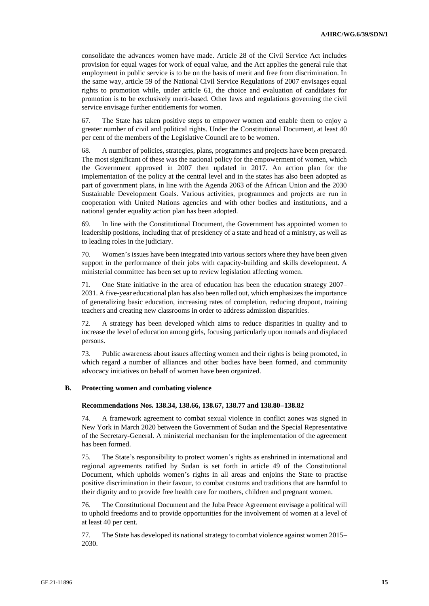consolidate the advances women have made. Article 28 of the Civil Service Act includes provision for equal wages for work of equal value, and the Act applies the general rule that employment in public service is to be on the basis of merit and free from discrimination. In the same way, article 59 of the National Civil Service Regulations of 2007 envisages equal rights to promotion while, under article 61, the choice and evaluation of candidates for promotion is to be exclusively merit-based. Other laws and regulations governing the civil service envisage further entitlements for women.

67. The State has taken positive steps to empower women and enable them to enjoy a greater number of civil and political rights. Under the Constitutional Document, at least 40 per cent of the members of the Legislative Council are to be women.

68. A number of policies, strategies, plans, programmes and projects have been prepared. The most significant of these was the national policy for the empowerment of women, which the Government approved in 2007 then updated in 2017. An action plan for the implementation of the policy at the central level and in the states has also been adopted as part of government plans, in line with the Agenda 2063 of the African Union and the 2030 Sustainable Development Goals. Various activities, programmes and projects are run in cooperation with United Nations agencies and with other bodies and institutions, and a national gender equality action plan has been adopted.

69. In line with the Constitutional Document, the Government has appointed women to leadership positions, including that of presidency of a state and head of a ministry, as well as to leading roles in the judiciary.

70. Women's issues have been integrated into various sectors where they have been given support in the performance of their jobs with capacity-building and skills development. A ministerial committee has been set up to review legislation affecting women.

71. One State initiative in the area of education has been the education strategy 2007– 2031. A five-year educational plan has also been rolled out, which emphasizes the importance of generalizing basic education, increasing rates of completion, reducing dropout, training teachers and creating new classrooms in order to address admission disparities.

72. A strategy has been developed which aims to reduce disparities in quality and to increase the level of education among girls, focusing particularly upon nomads and displaced persons.

73. Public awareness about issues affecting women and their rights is being promoted, in which regard a number of alliances and other bodies have been formed, and community advocacy initiatives on behalf of women have been organized.

#### **B. Protecting women and combating violence**

#### **Recommendations Nos. 138.34, 138.66, 138.67, 138.77 and 138.80–138.82**

74. A framework agreement to combat sexual violence in conflict zones was signed in New York in March 2020 between the Government of Sudan and the Special Representative of the Secretary-General. A ministerial mechanism for the implementation of the agreement has been formed.

75. The State's responsibility to protect women's rights as enshrined in international and regional agreements ratified by Sudan is set forth in article 49 of the Constitutional Document, which upholds women's rights in all areas and enjoins the State to practise positive discrimination in their favour, to combat customs and traditions that are harmful to their dignity and to provide free health care for mothers, children and pregnant women.

76. The Constitutional Document and the Juba Peace Agreement envisage a political will to uphold freedoms and to provide opportunities for the involvement of women at a level of at least 40 per cent.

77. The State has developed its national strategy to combat violence against women 2015– 2030.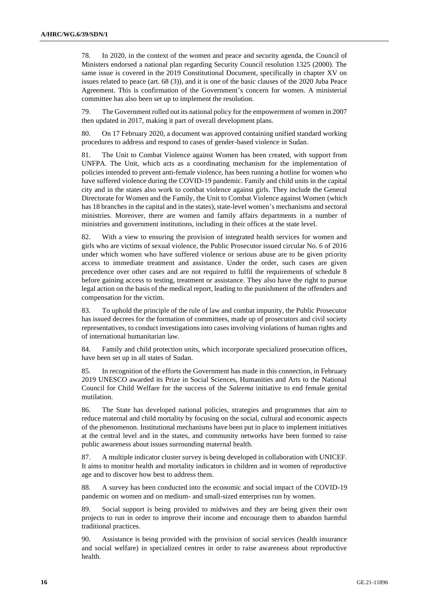78. In 2020, in the context of the women and peace and security agenda, the Council of Ministers endorsed a national plan regarding Security Council resolution 1325 (2000). The same issue is covered in the 2019 Constitutional Document, specifically in chapter XV on issues related to peace (art. 68 (3)), and it is one of the basic clauses of the 2020 Juba Peace Agreement. This is confirmation of the Government's concern for women. A ministerial committee has also been set up to implement the resolution.

79. The Government rolled out its national policy for the empowerment of women in 2007 then updated in 2017, making it part of overall development plans.

80. On 17 February 2020, a document was approved containing unified standard working procedures to address and respond to cases of gender-based violence in Sudan.

81. The Unit to Combat Violence against Women has been created, with support from UNFPA. The Unit, which acts as a coordinating mechanism for the implementation of policies intended to prevent anti-female violence, has been running a hotline for women who have suffered violence during the COVID-19 pandemic. Family and child units in the capital city and in the states also work to combat violence against girls. They include the General Directorate for Women and the Family, the Unit to Combat Violence against Women (which has 18 branches in the capital and in the states), state-level women's mechanisms and sectoral ministries. Moreover, there are women and family affairs departments in a number of ministries and government institutions, including in their offices at the state level.

82. With a view to ensuring the provision of integrated health services for women and girls who are victims of sexual violence, the Public Prosecutor issued circular No. 6 of 2016 under which women who have suffered violence or serious abuse are to be given priority access to immediate treatment and assistance. Under the order, such cases are given precedence over other cases and are not required to fulfil the requirements of schedule 8 before gaining access to testing, treatment or assistance. They also have the right to pursue legal action on the basis of the medical report, leading to the punishment of the offenders and compensation for the victim.

83. To uphold the principle of the rule of law and combat impunity, the Public Prosecutor has issued decrees for the formation of committees, made up of prosecutors and civil society representatives, to conduct investigations into cases involving violations of human rights and of international humanitarian law.

84. Family and child protection units, which incorporate specialized prosecution offices, have been set up in all states of Sudan.

85. In recognition of the efforts the Government has made in this connection, in February 2019 UNESCO awarded its Prize in Social Sciences, Humanities and Arts to the National Council for Child Welfare for the success of the *Saleema* initiative to end female genital mutilation.

86. The State has developed national policies, strategies and programmes that aim to reduce maternal and child mortality by focusing on the social, cultural and economic aspects of the phenomenon. Institutional mechanisms have been put in place to implement initiatives at the central level and in the states, and community networks have been formed to raise public awareness about issues surrounding maternal health.

87. A multiple indicator cluster survey is being developed in collaboration with UNICEF. It aims to monitor health and mortality indicators in children and in women of reproductive age and to discover how best to address them.

88. A survey has been conducted into the economic and social impact of the COVID-19 pandemic on women and on medium- and small-sized enterprises run by women.

89. Social support is being provided to midwives and they are being given their own projects to run in order to improve their income and encourage them to abandon harmful traditional practices.

90. Assistance is being provided with the provision of social services (health insurance and social welfare) in specialized centres in order to raise awareness about reproductive health.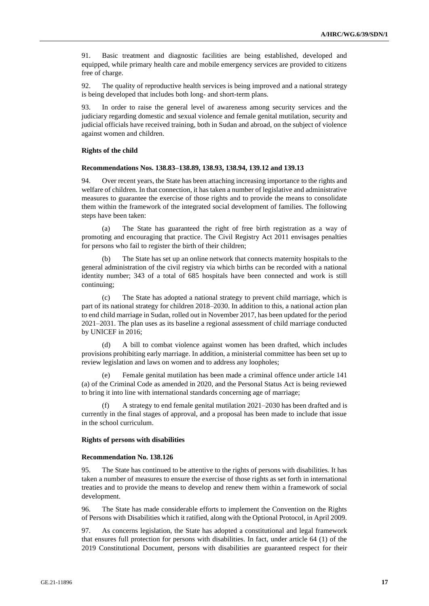91. Basic treatment and diagnostic facilities are being established, developed and equipped, while primary health care and mobile emergency services are provided to citizens free of charge.

92. The quality of reproductive health services is being improved and a national strategy is being developed that includes both long- and short-term plans.

93. In order to raise the general level of awareness among security services and the judiciary regarding domestic and sexual violence and female genital mutilation, security and judicial officials have received training, both in Sudan and abroad, on the subject of violence against women and children.

#### **Rights of the child**

#### **Recommendations Nos. 138.83–138.89, 138.93, 138.94, 139.12 and 139.13**

94. Over recent years, the State has been attaching increasing importance to the rights and welfare of children. In that connection, it has taken a number of legislative and administrative measures to guarantee the exercise of those rights and to provide the means to consolidate them within the framework of the integrated social development of families. The following steps have been taken:

(a) The State has guaranteed the right of free birth registration as a way of promoting and encouraging that practice. The Civil Registry Act 2011 envisages penalties for persons who fail to register the birth of their children;

(b) The State has set up an online network that connects maternity hospitals to the general administration of the civil registry via which births can be recorded with a national identity number; 343 of a total of 685 hospitals have been connected and work is still continuing;

(c) The State has adopted a national strategy to prevent child marriage, which is part of its national strategy for children 2018–2030. In addition to this, a national action plan to end child marriage in Sudan, rolled out in November 2017, has been updated for the period 2021–2031. The plan uses as its baseline a regional assessment of child marriage conducted by UNICEF in 2016;

(d) A bill to combat violence against women has been drafted, which includes provisions prohibiting early marriage. In addition, a ministerial committee has been set up to review legislation and laws on women and to address any loopholes;

(e) Female genital mutilation has been made a criminal offence under article 141 (a) of the Criminal Code as amended in 2020, and the Personal Status Act is being reviewed to bring it into line with international standards concerning age of marriage;

A strategy to end female genital mutilation 2021–2030 has been drafted and is currently in the final stages of approval, and a proposal has been made to include that issue in the school curriculum.

#### **Rights of persons with disabilities**

#### **Recommendation No. 138.126**

95. The State has continued to be attentive to the rights of persons with disabilities. It has taken a number of measures to ensure the exercise of those rights as set forth in international treaties and to provide the means to develop and renew them within a framework of social development.

96. The State has made considerable efforts to implement the Convention on the Rights of Persons with Disabilities which it ratified, along with the Optional Protocol, in April 2009.

97. As concerns legislation, the State has adopted a constitutional and legal framework that ensures full protection for persons with disabilities. In fact, under article 64 (1) of the 2019 Constitutional Document, persons with disabilities are guaranteed respect for their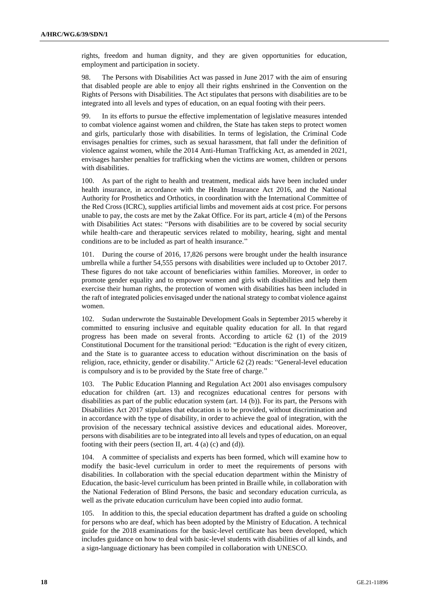rights, freedom and human dignity, and they are given opportunities for education, employment and participation in society.

98. The Persons with Disabilities Act was passed in June 2017 with the aim of ensuring that disabled people are able to enjoy all their rights enshrined in the Convention on the Rights of Persons with Disabilities. The Act stipulates that persons with disabilities are to be integrated into all levels and types of education, on an equal footing with their peers.

99. In its efforts to pursue the effective implementation of legislative measures intended to combat violence against women and children, the State has taken steps to protect women and girls, particularly those with disabilities. In terms of legislation, the Criminal Code envisages penalties for crimes, such as sexual harassment, that fall under the definition of violence against women, while the 2014 Anti-Human Trafficking Act, as amended in 2021, envisages harsher penalties for trafficking when the victims are women, children or persons with disabilities.

100. As part of the right to health and treatment, medical aids have been included under health insurance, in accordance with the Health Insurance Act 2016, and the National Authority for Prosthetics and Orthotics, in coordination with the International Committee of the Red Cross (ICRC), supplies artificial limbs and movement aids at cost price. For persons unable to pay, the costs are met by the Zakat Office. For its part, article 4 (m) of the Persons with Disabilities Act states: "Persons with disabilities are to be covered by social security while health-care and therapeutic services related to mobility, hearing, sight and mental conditions are to be included as part of health insurance."

101. During the course of 2016, 17,826 persons were brought under the health insurance umbrella while a further 54,555 persons with disabilities were included up to October 2017. These figures do not take account of beneficiaries within families. Moreover, in order to promote gender equality and to empower women and girls with disabilities and help them exercise their human rights, the protection of women with disabilities has been included in the raft of integrated policies envisaged under the national strategy to combat violence against women.

102. Sudan underwrote the Sustainable Development Goals in September 2015 whereby it committed to ensuring inclusive and equitable quality education for all. In that regard progress has been made on several fronts. According to article 62 (1) of the 2019 Constitutional Document for the transitional period: "Education is the right of every citizen, and the State is to guarantee access to education without discrimination on the basis of religion, race, ethnicity, gender or disability." Article 62 (2) reads: "General-level education is compulsory and is to be provided by the State free of charge."

103. The Public Education Planning and Regulation Act 2001 also envisages compulsory education for children (art. 13) and recognizes educational centres for persons with disabilities as part of the public education system (art. 14 (b)). For its part, the Persons with Disabilities Act 2017 stipulates that education is to be provided, without discrimination and in accordance with the type of disability, in order to achieve the goal of integration, with the provision of the necessary technical assistive devices and educational aides. Moreover, persons with disabilities are to be integrated into all levels and types of education, on an equal footing with their peers (section II, art. 4 (a) (c) and (d)).

104. A committee of specialists and experts has been formed, which will examine how to modify the basic-level curriculum in order to meet the requirements of persons with disabilities. In collaboration with the special education department within the Ministry of Education, the basic-level curriculum has been printed in Braille while, in collaboration with the National Federation of Blind Persons, the basic and secondary education curricula, as well as the private education curriculum have been copied into audio format.

105. In addition to this, the special education department has drafted a guide on schooling for persons who are deaf, which has been adopted by the Ministry of Education. A technical guide for the 2018 examinations for the basic-level certificate has been developed, which includes guidance on how to deal with basic-level students with disabilities of all kinds, and a sign-language dictionary has been compiled in collaboration with UNESCO.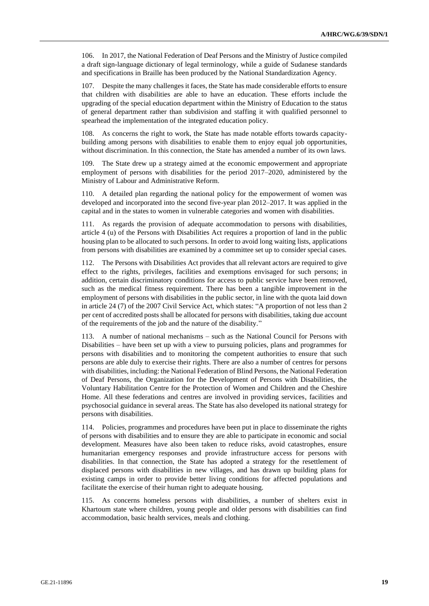106. In 2017, the National Federation of Deaf Persons and the Ministry of Justice compiled a draft sign-language dictionary of legal terminology, while a guide of Sudanese standards and specifications in Braille has been produced by the National Standardization Agency.

107. Despite the many challenges it faces, the State has made considerable efforts to ensure that children with disabilities are able to have an education. These efforts include the upgrading of the special education department within the Ministry of Education to the status of general department rather than subdivision and staffing it with qualified personnel to spearhead the implementation of the integrated education policy.

108. As concerns the right to work, the State has made notable efforts towards capacitybuilding among persons with disabilities to enable them to enjoy equal job opportunities, without discrimination. In this connection, the State has amended a number of its own laws.

109. The State drew up a strategy aimed at the economic empowerment and appropriate employment of persons with disabilities for the period 2017–2020, administered by the Ministry of Labour and Administrative Reform.

110. A detailed plan regarding the national policy for the empowerment of women was developed and incorporated into the second five-year plan 2012–2017. It was applied in the capital and in the states to women in vulnerable categories and women with disabilities.

111. As regards the provision of adequate accommodation to persons with disabilities, article 4 (u) of the Persons with Disabilities Act requires a proportion of land in the public housing plan to be allocated to such persons. In order to avoid long waiting lists, applications from persons with disabilities are examined by a committee set up to consider special cases.

112. The Persons with Disabilities Act provides that all relevant actors are required to give effect to the rights, privileges, facilities and exemptions envisaged for such persons; in addition, certain discriminatory conditions for access to public service have been removed, such as the medical fitness requirement. There has been a tangible improvement in the employment of persons with disabilities in the public sector, in line with the quota laid down in article 24 (7) of the 2007 Civil Service Act, which states: "A proportion of not less than 2 per cent of accredited posts shall be allocated for persons with disabilities, taking due account of the requirements of the job and the nature of the disability."

113. A number of national mechanisms – such as the National Council for Persons with Disabilities – have been set up with a view to pursuing policies, plans and programmes for persons with disabilities and to monitoring the competent authorities to ensure that such persons are able duly to exercise their rights. There are also a number of centres for persons with disabilities, including: the National Federation of Blind Persons, the National Federation of Deaf Persons, the Organization for the Development of Persons with Disabilities, the Voluntary Habilitation Centre for the Protection of Women and Children and the Cheshire Home. All these federations and centres are involved in providing services, facilities and psychosocial guidance in several areas. The State has also developed its national strategy for persons with disabilities.

114. Policies, programmes and procedures have been put in place to disseminate the rights of persons with disabilities and to ensure they are able to participate in economic and social development. Measures have also been taken to reduce risks, avoid catastrophes, ensure humanitarian emergency responses and provide infrastructure access for persons with disabilities. In that connection, the State has adopted a strategy for the resettlement of displaced persons with disabilities in new villages, and has drawn up building plans for existing camps in order to provide better living conditions for affected populations and facilitate the exercise of their human right to adequate housing.

115. As concerns homeless persons with disabilities, a number of shelters exist in Khartoum state where children, young people and older persons with disabilities can find accommodation, basic health services, meals and clothing.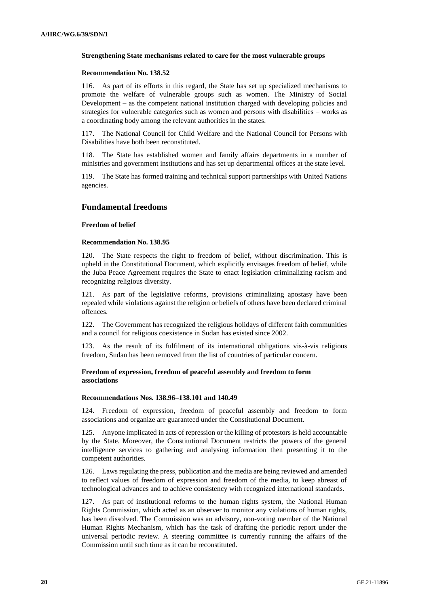#### **Strengthening State mechanisms related to care for the most vulnerable groups**

#### **Recommendation No. 138.52**

116. As part of its efforts in this regard, the State has set up specialized mechanisms to promote the welfare of vulnerable groups such as women. The Ministry of Social Development – as the competent national institution charged with developing policies and strategies for vulnerable categories such as women and persons with disabilities – works as a coordinating body among the relevant authorities in the states.

117. The National Council for Child Welfare and the National Council for Persons with Disabilities have both been reconstituted.

118. The State has established women and family affairs departments in a number of ministries and government institutions and has set up departmental offices at the state level.

119. The State has formed training and technical support partnerships with United Nations agencies.

### **Fundamental freedoms**

#### **Freedom of belief**

#### **Recommendation No. 138.95**

120. The State respects the right to freedom of belief, without discrimination. This is upheld in the Constitutional Document, which explicitly envisages freedom of belief, while the Juba Peace Agreement requires the State to enact legislation criminalizing racism and recognizing religious diversity.

121. As part of the legislative reforms, provisions criminalizing apostasy have been repealed while violations against the religion or beliefs of others have been declared criminal offences.

122. The Government has recognized the religious holidays of different faith communities and a council for religious coexistence in Sudan has existed since 2002.

123. As the result of its fulfilment of its international obligations vis-à-vis religious freedom, Sudan has been removed from the list of countries of particular concern.

#### **Freedom of expression, freedom of peaceful assembly and freedom to form associations**

#### **Recommendations Nos. 138.96–138.101 and 140.49**

124. Freedom of expression, freedom of peaceful assembly and freedom to form associations and organize are guaranteed under the Constitutional Document.

125. Anyone implicated in acts of repression or the killing of protestors is held accountable by the State. Moreover, the Constitutional Document restricts the powers of the general intelligence services to gathering and analysing information then presenting it to the competent authorities.

126. Laws regulating the press, publication and the media are being reviewed and amended to reflect values of freedom of expression and freedom of the media, to keep abreast of technological advances and to achieve consistency with recognized international standards.

127. As part of institutional reforms to the human rights system, the National Human Rights Commission, which acted as an observer to monitor any violations of human rights, has been dissolved. The Commission was an advisory, non-voting member of the National Human Rights Mechanism, which has the task of drafting the periodic report under the universal periodic review. A steering committee is currently running the affairs of the Commission until such time as it can be reconstituted.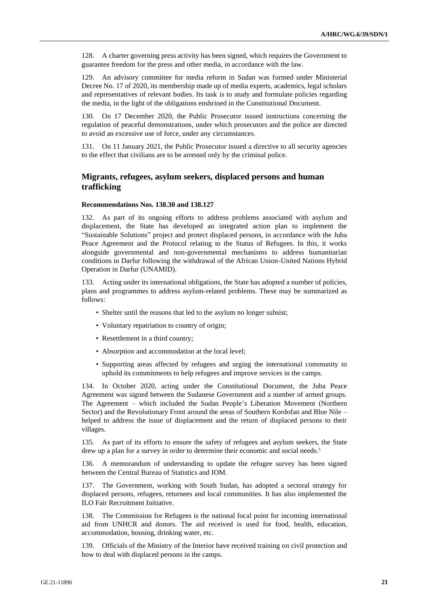128. A charter governing press activity has been signed, which requires the Government to guarantee freedom for the press and other media, in accordance with the law.

129. An advisory committee for media reform in Sudan was formed under Ministerial Decree No. 17 of 2020, its membership made up of media experts, academics, legal scholars and representatives of relevant bodies. Its task is to study and formulate policies regarding the media, in the light of the obligations enshrined in the Constitutional Document.

130. On 17 December 2020, the Public Prosecutor issued instructions concerning the regulation of peaceful demonstrations, under which prosecutors and the police are directed to avoid an excessive use of force, under any circumstances.

131. On 11 January 2021, the Public Prosecutor issued a directive to all security agencies to the effect that civilians are to be arrested only by the criminal police.

## **Migrants, refugees, asylum seekers, displaced persons and human trafficking**

#### **Recommendations Nos. 138.30 and 138.127**

132. As part of its ongoing efforts to address problems associated with asylum and displacement, the State has developed an integrated action plan to implement the "Sustainable Solutions" project and protect displaced persons, in accordance with the Juba Peace Agreement and the Protocol relating to the Status of Refugees. In this, it works alongside governmental and non-governmental mechanisms to address humanitarian conditions in Darfur following the withdrawal of the African Union-United Nations Hybrid Operation in Darfur (UNAMID).

133. Acting under its international obligations, the State has adopted a number of policies, plans and programmes to address asylum-related problems. These may be summarized as follows:

- Shelter until the reasons that led to the asylum no longer subsist;
- Voluntary repatriation to country of origin;
- Resettlement in a third country;
- Absorption and accommodation at the local level;
- Supporting areas affected by refugees and urging the international community to uphold its commitments to help refugees and improve services in the camps.

134. In October 2020, acting under the Constitutional Document, the Juba Peace Agreement was signed between the Sudanese Government and a number of armed groups. The Agreement – which included the Sudan People's Liberation Movement (Northern Sector) and the Revolutionary Front around the areas of Southern Kordofan and Blue Nile – helped to address the issue of displacement and the return of displaced persons to their villages.

135. As part of its efforts to ensure the safety of refugees and asylum seekers, the State drew up a plan for a survey in order to determine their economic and social needs.<sup>5</sup>

136. A memorandum of understanding to update the refugee survey has been signed between the Central Bureau of Statistics and IOM.

137. The Government, working with South Sudan, has adopted a sectoral strategy for displaced persons, refugees, returnees and local communities. It has also implemented the ILO Fair Recruitment Initiative.

138. The Commission for Refugees is the national focal point for incoming international aid from UNHCR and donors. The aid received is used for food, health, education, accommodation, housing, drinking water, etc.

139. Officials of the Ministry of the Interior have received training on civil protection and how to deal with displaced persons in the camps.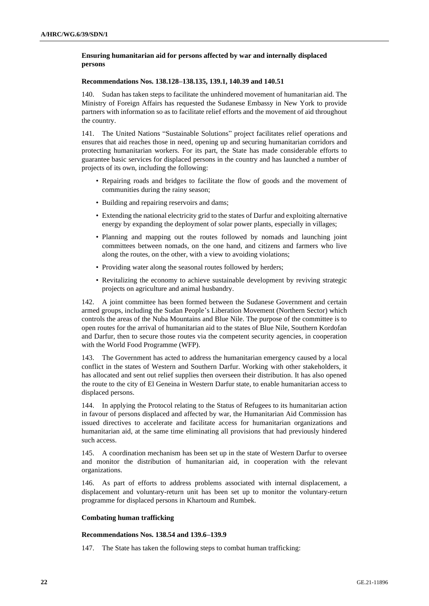### **Ensuring humanitarian aid for persons affected by war and internally displaced persons**

#### **Recommendations Nos. 138.128–138.135, 139.1, 140.39 and 140.51**

Sudan has taken steps to facilitate the unhindered movement of humanitarian aid. The Ministry of Foreign Affairs has requested the Sudanese Embassy in New York to provide partners with information so as to facilitate relief efforts and the movement of aid throughout the country.

141. The United Nations "Sustainable Solutions" project facilitates relief operations and ensures that aid reaches those in need, opening up and securing humanitarian corridors and protecting humanitarian workers. For its part, the State has made considerable efforts to guarantee basic services for displaced persons in the country and has launched a number of projects of its own, including the following:

- Repairing roads and bridges to facilitate the flow of goods and the movement of communities during the rainy season;
- Building and repairing reservoirs and dams;
- Extending the national electricity grid to the states of Darfur and exploiting alternative energy by expanding the deployment of solar power plants, especially in villages;
- Planning and mapping out the routes followed by nomads and launching joint committees between nomads, on the one hand, and citizens and farmers who live along the routes, on the other, with a view to avoiding violations;
- Providing water along the seasonal routes followed by herders;
- Revitalizing the economy to achieve sustainable development by reviving strategic projects on agriculture and animal husbandry.

142. A joint committee has been formed between the Sudanese Government and certain armed groups, including the Sudan People's Liberation Movement (Northern Sector) which controls the areas of the Nuba Mountains and Blue Nile. The purpose of the committee is to open routes for the arrival of humanitarian aid to the states of Blue Nile, Southern Kordofan and Darfur, then to secure those routes via the competent security agencies, in cooperation with the World Food Programme (WFP).

143. The Government has acted to address the humanitarian emergency caused by a local conflict in the states of Western and Southern Darfur. Working with other stakeholders, it has allocated and sent out relief supplies then overseen their distribution. It has also opened the route to the city of El Geneina in Western Darfur state, to enable humanitarian access to displaced persons.

144. In applying the Protocol relating to the Status of Refugees to its humanitarian action in favour of persons displaced and affected by war, the Humanitarian Aid Commission has issued directives to accelerate and facilitate access for humanitarian organizations and humanitarian aid, at the same time eliminating all provisions that had previously hindered such access.

145. A coordination mechanism has been set up in the state of Western Darfur to oversee and monitor the distribution of humanitarian aid, in cooperation with the relevant organizations.

146. As part of efforts to address problems associated with internal displacement, a displacement and voluntary-return unit has been set up to monitor the voluntary-return programme for displaced persons in Khartoum and Rumbek.

#### **Combating human trafficking**

#### **Recommendations Nos. 138.54 and 139.6–139.9**

147. The State has taken the following steps to combat human trafficking: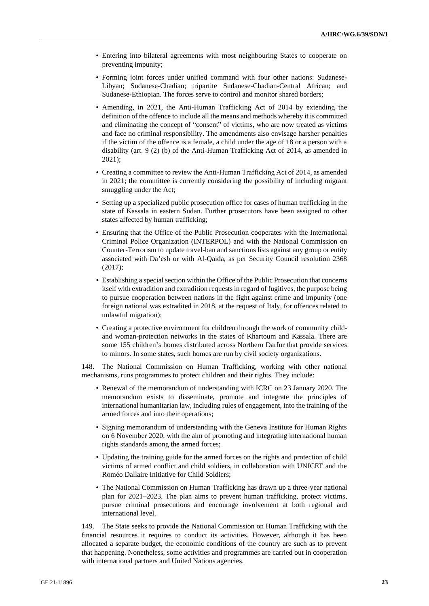- Entering into bilateral agreements with most neighbouring States to cooperate on preventing impunity;
- Forming joint forces under unified command with four other nations: Sudanese-Libyan; Sudanese-Chadian; tripartite Sudanese-Chadian-Central African; and Sudanese-Ethiopian. The forces serve to control and monitor shared borders;
- Amending, in 2021, the Anti-Human Trafficking Act of 2014 by extending the definition of the offence to include all the means and methods whereby it is committed and eliminating the concept of "consent" of victims, who are now treated as victims and face no criminal responsibility. The amendments also envisage harsher penalties if the victim of the offence is a female, a child under the age of 18 or a person with a disability (art. 9 (2) (b) of the Anti-Human Trafficking Act of 2014, as amended in 2021);
- Creating a committee to review the Anti-Human Trafficking Act of 2014, as amended in 2021; the committee is currently considering the possibility of including migrant smuggling under the Act;
- Setting up a specialized public prosecution office for cases of human trafficking in the state of Kassala in eastern Sudan. Further prosecutors have been assigned to other states affected by human trafficking;
- Ensuring that the Office of the Public Prosecution cooperates with the International Criminal Police Organization (INTERPOL) and with the National Commission on Counter-Terrorism to update travel-ban and sanctions lists against any group or entity associated with Da'esh or with Al-Qaida, as per Security Council resolution 2368 (2017);
- Establishing a special section within the Office of the Public Prosecution that concerns itself with extradition and extradition requests in regard of fugitives, the purpose being to pursue cooperation between nations in the fight against crime and impunity (one foreign national was extradited in 2018, at the request of Italy, for offences related to unlawful migration);
- Creating a protective environment for children through the work of community childand woman-protection networks in the states of Khartoum and Kassala. There are some 155 children's homes distributed across Northern Darfur that provide services to minors. In some states, such homes are run by civil society organizations.

148. The National Commission on Human Trafficking, working with other national mechanisms, runs programmes to protect children and their rights. They include:

- Renewal of the memorandum of understanding with ICRC on 23 January 2020. The memorandum exists to disseminate, promote and integrate the principles of international humanitarian law, including rules of engagement, into the training of the armed forces and into their operations;
- Signing memorandum of understanding with the Geneva Institute for Human Rights on 6 November 2020, with the aim of promoting and integrating international human rights standards among the armed forces;
- Updating the training guide for the armed forces on the rights and protection of child victims of armed conflict and child soldiers, in collaboration with UNICEF and the Roméo Dallaire Initiative for Child Soldiers;
- The National Commission on Human Trafficking has drawn up a three-year national plan for 2021–2023. The plan aims to prevent human trafficking, protect victims, pursue criminal prosecutions and encourage involvement at both regional and international level.

149. The State seeks to provide the National Commission on Human Trafficking with the financial resources it requires to conduct its activities. However, although it has been allocated a separate budget, the economic conditions of the country are such as to prevent that happening. Nonetheless, some activities and programmes are carried out in cooperation with international partners and United Nations agencies.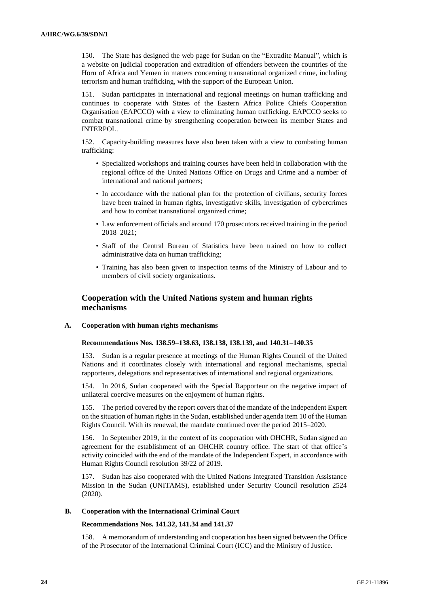150. The State has designed the web page for Sudan on the "Extradite Manual", which is a website on judicial cooperation and extradition of offenders between the countries of the Horn of Africa and Yemen in matters concerning transnational organized crime, including terrorism and human trafficking, with the support of the European Union.

151. Sudan participates in international and regional meetings on human trafficking and continues to cooperate with States of the Eastern Africa Police Chiefs Cooperation Organisation (EAPCCO) with a view to eliminating human trafficking. EAPCCO seeks to combat transnational crime by strengthening cooperation between its member States and INTERPOL.

152. Capacity-building measures have also been taken with a view to combating human trafficking:

- Specialized workshops and training courses have been held in collaboration with the regional office of the United Nations Office on Drugs and Crime and a number of international and national partners;
- In accordance with the national plan for the protection of civilians, security forces have been trained in human rights, investigative skills, investigation of cybercrimes and how to combat transnational organized crime;
- Law enforcement officials and around 170 prosecutors received training in the period 2018–2021;
- Staff of the Central Bureau of Statistics have been trained on how to collect administrative data on human trafficking;
- Training has also been given to inspection teams of the Ministry of Labour and to members of civil society organizations.

# **Cooperation with the United Nations system and human rights mechanisms**

#### **A. Cooperation with human rights mechanisms**

#### **Recommendations Nos. 138.59–138.63, 138.138, 138.139, and 140.31–140.35**

153. Sudan is a regular presence at meetings of the Human Rights Council of the United Nations and it coordinates closely with international and regional mechanisms, special rapporteurs, delegations and representatives of international and regional organizations.

154. In 2016, Sudan cooperated with the Special Rapporteur on the negative impact of unilateral coercive measures on the enjoyment of human rights.

155. The period covered by the report covers that of the mandate of the Independent Expert on the situation of human rights in the Sudan, established under agenda item 10 of the Human Rights Council. With its renewal, the mandate continued over the period 2015–2020.

156. In September 2019, in the context of its cooperation with OHCHR, Sudan signed an agreement for the establishment of an OHCHR country office. The start of that office's activity coincided with the end of the mandate of the Independent Expert, in accordance with Human Rights Council resolution 39/22 of 2019.

157. Sudan has also cooperated with the United Nations Integrated Transition Assistance Mission in the Sudan (UNITAMS), established under Security Council resolution 2524 (2020).

#### **B. Cooperation with the International Criminal Court**

### **Recommendations Nos. 141.32, 141.34 and 141.37**

158. A memorandum of understanding and cooperation has been signed between the Office of the Prosecutor of the International Criminal Court (ICC) and the Ministry of Justice.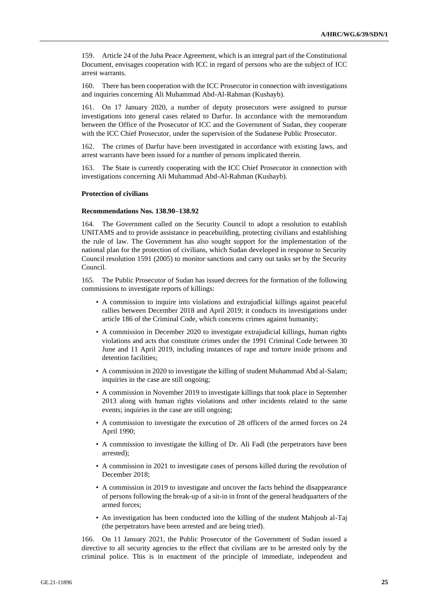159. Article 24 of the Juba Peace Agreement, which is an integral part of the Constitutional Document, envisages cooperation with ICC in regard of persons who are the subject of ICC arrest warrants.

160. There has been cooperation with the ICC Prosecutor in connection with investigations and inquiries concerning Ali Muhammad Abd-Al-Rahman (Kushayb).

161. On 17 January 2020, a number of deputy prosecutors were assigned to pursue investigations into general cases related to Darfur. In accordance with the memorandum between the Office of the Prosecutor of ICC and the Government of Sudan, they cooperate with the ICC Chief Prosecutor, under the supervision of the Sudanese Public Prosecutor.

162. The crimes of Darfur have been investigated in accordance with existing laws, and arrest warrants have been issued for a number of persons implicated therein.

163. The State is currently cooperating with the ICC Chief Prosecutor in connection with investigations concerning Ali Muhammad Abd-Al-Rahman (Kushayb).

#### **Protection of civilians**

#### **Recommendations Nos. 138.90–138.92**

164. The Government called on the Security Council to adopt a resolution to establish UNITAMS and to provide assistance in peacebuilding, protecting civilians and establishing the rule of law. The Government has also sought support for the implementation of the national plan for the protection of civilians, which Sudan developed in response to Security Council resolution 1591 (2005) to monitor sanctions and carry out tasks set by the Security Council.

165. The Public Prosecutor of Sudan has issued decrees for the formation of the following commissions to investigate reports of killings:

- A commission to inquire into violations and extrajudicial killings against peaceful rallies between December 2018 and April 2019; it conducts its investigations under article 186 of the Criminal Code, which concerns crimes against humanity;
- A commission in December 2020 to investigate extrajudicial killings, human rights violations and acts that constitute crimes under the 1991 Criminal Code between 30 June and 11 April 2019, including instances of rape and torture inside prisons and detention facilities;
- A commission in 2020 to investigate the killing of student Muhammad Abd al-Salam; inquiries in the case are still ongoing;
- A commission in November 2019 to investigate killings that took place in September 2013 along with human rights violations and other incidents related to the same events; inquiries in the case are still ongoing;
- A commission to investigate the execution of 28 officers of the armed forces on 24 April 1990;
- A commission to investigate the killing of Dr. Ali Fadl (the perpetrators have been arrested);
- A commission in 2021 to investigate cases of persons killed during the revolution of December 2018;
- A commission in 2019 to investigate and uncover the facts behind the disappearance of persons following the break-up of a sit-in in front of the general headquarters of the armed forces;
- An investigation has been conducted into the killing of the student Mahjoub al-Taj (the perpetrators have been arrested and are being tried).

166. On 11 January 2021, the Public Prosecutor of the Government of Sudan issued a directive to all security agencies to the effect that civilians are to be arrested only by the criminal police. This is in enactment of the principle of immediate, independent and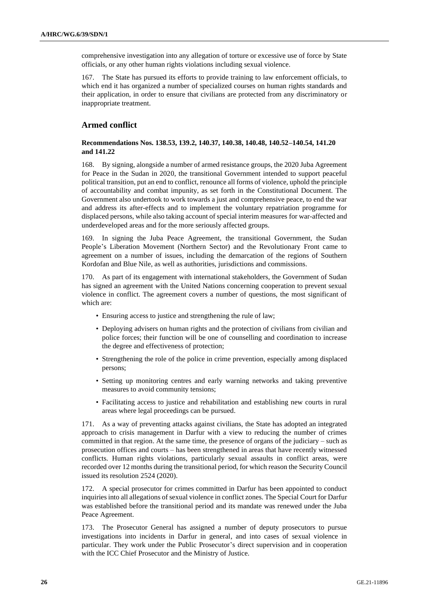comprehensive investigation into any allegation of torture or excessive use of force by State officials, or any other human rights violations including sexual violence.

167. The State has pursued its efforts to provide training to law enforcement officials, to which end it has organized a number of specialized courses on human rights standards and their application, in order to ensure that civilians are protected from any discriminatory or inappropriate treatment.

# **Armed conflict**

### **Recommendations Nos. 138.53, 139.2, 140.37, 140.38, 140.48, 140.52–140.54, 141.20 and 141.22**

168. By signing, alongside a number of armed resistance groups, the 2020 Juba Agreement for Peace in the Sudan in 2020, the transitional Government intended to support peaceful political transition, put an end to conflict, renounce all forms of violence, uphold the principle of accountability and combat impunity, as set forth in the Constitutional Document. The Government also undertook to work towards a just and comprehensive peace, to end the war and address its after-effects and to implement the voluntary repatriation programme for displaced persons, while also taking account of special interim measures for war-affected and underdeveloped areas and for the more seriously affected groups.

169. In signing the Juba Peace Agreement, the transitional Government, the Sudan People's Liberation Movement (Northern Sector) and the Revolutionary Front came to agreement on a number of issues, including the demarcation of the regions of Southern Kordofan and Blue Nile, as well as authorities, jurisdictions and commissions.

170. As part of its engagement with international stakeholders, the Government of Sudan has signed an agreement with the United Nations concerning cooperation to prevent sexual violence in conflict. The agreement covers a number of questions, the most significant of which are:

- Ensuring access to justice and strengthening the rule of law;
- Deploying advisers on human rights and the protection of civilians from civilian and police forces; their function will be one of counselling and coordination to increase the degree and effectiveness of protection;
- Strengthening the role of the police in crime prevention, especially among displaced persons;
- Setting up monitoring centres and early warning networks and taking preventive measures to avoid community tensions;
- Facilitating access to justice and rehabilitation and establishing new courts in rural areas where legal proceedings can be pursued.

171. As a way of preventing attacks against civilians, the State has adopted an integrated approach to crisis management in Darfur with a view to reducing the number of crimes committed in that region. At the same time, the presence of organs of the judiciary – such as prosecution offices and courts – has been strengthened in areas that have recently witnessed conflicts. Human rights violations, particularly sexual assaults in conflict areas, were recorded over 12 months during the transitional period, for which reason the Security Council issued its resolution 2524 (2020).

172. A special prosecutor for crimes committed in Darfur has been appointed to conduct inquiries into all allegations of sexual violence in conflict zones. The Special Court for Darfur was established before the transitional period and its mandate was renewed under the Juba Peace Agreement.

173. The Prosecutor General has assigned a number of deputy prosecutors to pursue investigations into incidents in Darfur in general, and into cases of sexual violence in particular. They work under the Public Prosecutor's direct supervision and in cooperation with the ICC Chief Prosecutor and the Ministry of Justice.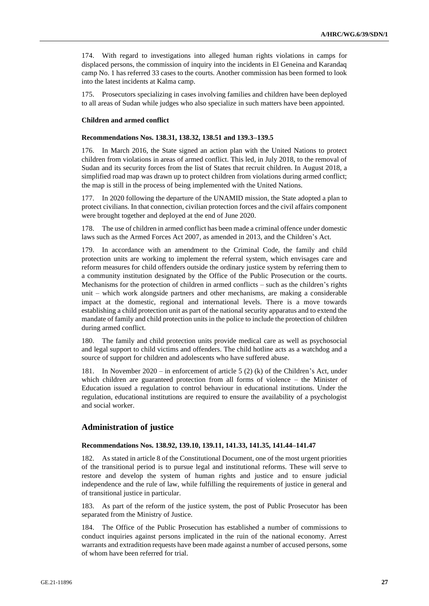174. With regard to investigations into alleged human rights violations in camps for displaced persons, the commission of inquiry into the incidents in El Geneina and Karandaq camp No. 1 has referred 33 cases to the courts. Another commission has been formed to look into the latest incidents at Kalma camp.

175. Prosecutors specializing in cases involving families and children have been deployed to all areas of Sudan while judges who also specialize in such matters have been appointed.

#### **Children and armed conflict**

#### **Recommendations Nos. 138.31, 138.32, 138.51 and 139.3–139.5**

176. In March 2016, the State signed an action plan with the United Nations to protect children from violations in areas of armed conflict. This led, in July 2018, to the removal of Sudan and its security forces from the list of States that recruit children. In August 2018, a simplified road map was drawn up to protect children from violations during armed conflict; the map is still in the process of being implemented with the United Nations.

177. In 2020 following the departure of the UNAMID mission, the State adopted a plan to protect civilians. In that connection, civilian protection forces and the civil affairs component were brought together and deployed at the end of June 2020.

178. The use of children in armed conflict has been made a criminal offence under domestic laws such as the Armed Forces Act 2007, as amended in 2013, and the Children's Act.

In accordance with an amendment to the Criminal Code, the family and child protection units are working to implement the referral system, which envisages care and reform measures for child offenders outside the ordinary justice system by referring them to a community institution designated by the Office of the Public Prosecution or the courts. Mechanisms for the protection of children in armed conflicts – such as the children's rights unit – which work alongside partners and other mechanisms, are making a considerable impact at the domestic, regional and international levels. There is a move towards establishing a child protection unit as part of the national security apparatus and to extend the mandate of family and child protection units in the police to include the protection of children during armed conflict.

180. The family and child protection units provide medical care as well as psychosocial and legal support to child victims and offenders. The child hotline acts as a watchdog and a source of support for children and adolescents who have suffered abuse.

In November 2020 – in enforcement of article 5 (2) (k) of the Children's Act, under which children are guaranteed protection from all forms of violence – the Minister of Education issued a regulation to control behaviour in educational institutions. Under the regulation, educational institutions are required to ensure the availability of a psychologist and social worker.

### **Administration of justice**

### **Recommendations Nos. 138.92, 139.10, 139.11, 141.33, 141.35, 141.44–141.47**

182. As stated in article 8 of the Constitutional Document, one of the most urgent priorities of the transitional period is to pursue legal and institutional reforms. These will serve to restore and develop the system of human rights and justice and to ensure judicial independence and the rule of law, while fulfilling the requirements of justice in general and of transitional justice in particular.

183. As part of the reform of the justice system, the post of Public Prosecutor has been separated from the Ministry of Justice.

184. The Office of the Public Prosecution has established a number of commissions to conduct inquiries against persons implicated in the ruin of the national economy. Arrest warrants and extradition requests have been made against a number of accused persons, some of whom have been referred for trial.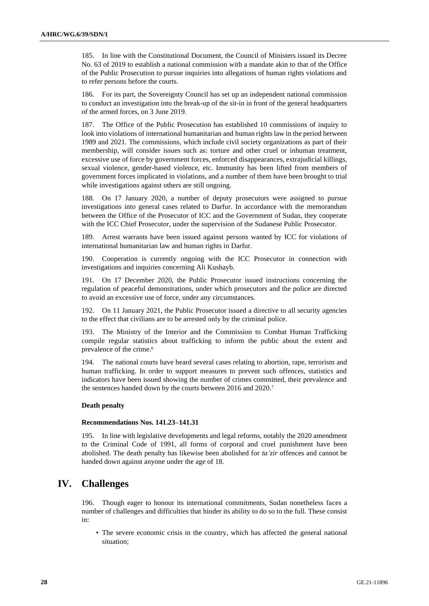185. In line with the Constitutional Document, the Council of Ministers issued its Decree No. 63 of 2019 to establish a national commission with a mandate akin to that of the Office of the Public Prosecution to pursue inquiries into allegations of human rights violations and to refer persons before the courts.

186. For its part, the Sovereignty Council has set up an independent national commission to conduct an investigation into the break-up of the sit-in in front of the general headquarters of the armed forces, on 3 June 2019.

187. The Office of the Public Prosecution has established 10 commissions of inquiry to look into violations of international humanitarian and human rights law in the period between 1989 and 2021. The commissions, which include civil society organizations as part of their membership, will consider issues such as: torture and other cruel or inhuman treatment, excessive use of force by government forces, enforced disappearances, extrajudicial killings, sexual violence, gender-based violence, etc. Immunity has been lifted from members of government forces implicated in violations, and a number of them have been brought to trial while investigations against others are still ongoing.

188. On 17 January 2020, a number of deputy prosecutors were assigned to pursue investigations into general cases related to Darfur. In accordance with the memorandum between the Office of the Prosecutor of ICC and the Government of Sudan, they cooperate with the ICC Chief Prosecutor, under the supervision of the Sudanese Public Prosecutor.

189. Arrest warrants have been issued against persons wanted by ICC for violations of international humanitarian law and human rights in Darfur.

190. Cooperation is currently ongoing with the ICC Prosecutor in connection with investigations and inquiries concerning Ali Kushayb.

191. On 17 December 2020, the Public Prosecutor issued instructions concerning the regulation of peaceful demonstrations, under which prosecutors and the police are directed to avoid an excessive use of force, under any circumstances.

192. On 11 January 2021, the Public Prosecutor issued a directive to all security agencies to the effect that civilians are to be arrested only by the criminal police.

193. The Ministry of the Interior and the Commission to Combat Human Trafficking compile regular statistics about trafficking to inform the public about the extent and prevalence of the crime.<sup>6</sup>

194. The national courts have heard several cases relating to abortion, rape, terrorism and human trafficking. In order to support measures to prevent such offences, statistics and indicators have been issued showing the number of crimes committed, their prevalence and the sentences handed down by the courts between 2016 and 2020.<sup>7</sup>

#### **Death penalty**

#### **Recommendations Nos. 141.23–141.31**

195. In line with legislative developments and legal reforms, notably the 2020 amendment to the Criminal Code of 1991, all forms of corporal and cruel punishment have been abolished. The death penalty has likewise been abolished for *ta'zir* offences and cannot be handed down against anyone under the age of 18.

# **IV. Challenges**

196. Though eager to honour its international commitments, Sudan nonetheless faces a number of challenges and difficulties that hinder its ability to do so to the full. These consist in:

• The severe economic crisis in the country, which has affected the general national situation;